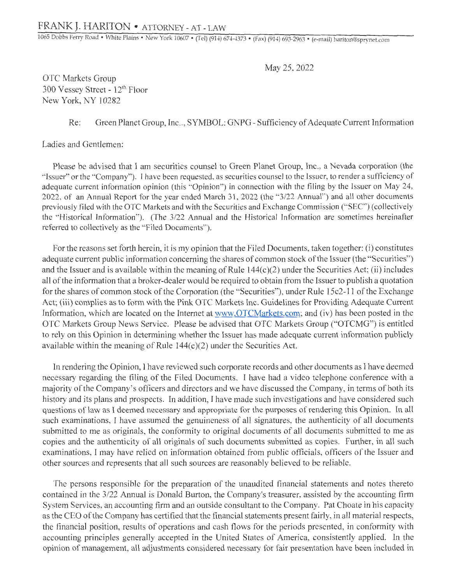1065 Dobbs Ferry Road • White Plains • New York 10607 • (Tel) (914) 674-4373 • (Fax) (914) 693-2963 • (e-mail) hariton@sprynet.com

May 25, 2022

OTC Markets Group 300 Vessey Street - 12th Floor New York, NY 10282

Re: Green Planet Group, Inc.., SYMBOL: GNPG - Sufficiency of Adequate Current Information

Ladies and Gentlemen:

Please be advised that I am securities counsel to Green Planet Group, Inc., a Nevada corporation (the " Issuer" or the "Company"). I have been requested, as securities counsel to the Issuer, to render a sufficiency of adequate current information opinion (this "Opinion") in connection with the filing by the Issuer on May 24, 2022, of an Annual Report for the year ended March 31, 2022 (the "3/22 Annual") and all other documents previously filed with the OTC Markets and with the Securities and Exchange Commission ("SEC") (collectively the "Historical Information"). (The 3/22 Annual and the Historical Information are sometimes hereinafter referred to collectively as the "Filed Documents").

For the reasons set forth herein, it is my opinion that the Filed Documents, taken together: (i) constitutes adequate current public information concerning the shares of common stock of the Issuer (the "Securities") and the Issuer and is available within the meaning of Rule  $144(c)(2)$  under the Securities Act; (ii) includes all of the information that a broker-dealer would be required to obtain from the Issuer to publish a quotation for the shares of common stock of the Corporation (the "Securities"), under Rule 15c2-11 of the Exchange Act; (iii) complies as to form with the Pink OTC Markets Inc. Guidelines for Providing Adequate Current Information, which are located on the Internet at www.OTCMarkets.com; and (iv) has been posted in the OTC Markets Group News Service. Please be advised that OTC Markets Group ("OTCMG") is entitled to rely on this Opinion in determining whether the Issuer has made adequate current information publicly available within the meaning of Rule  $144(c)(2)$  under the Securities Act.

In rendering the Opinion, I have reviewed such corporate records and other documents as I have deemed necessary regarding the filing of the Filed Documents. I have had a video telephone conference with a majority of the Company's officers and directors and we have discussed the Company, in terms of both its history and its plans and prospects. In addition, I have made such investigations and have considered such questions of law as I deemed necessary and appropriate for the purposes of rendering this Opinion. In all such examinations, I have assumed the genuineness of all signatures, the authenticity of all documents submitted to me as originals, the conformity to original documents of all documents submitted to me as copies and the authenticity of all originals of such documents submitted as copies. Further, in all such examinations, I may have relied on information obtained from public officials, officers of the Issuer and other sources and represents that all such sources are reasonably believed to be reliable.

The persons responsible for the preparation of the unaudited financial statements and notes thereto contained in the 3/22 Annual is Donald Burton, the Company's treasurer, assisted by the accounting firm System Services, an accounting firm and an outside consultant to the Company. Pat Choate in his capacity as the CEO of the Company has certified that the financial statements present fairly, in all material respects, the financial position, results of operations and cash flows for the periods presented, in conformity with accounting principles generally accepted in the United States of America, consistently applied. In the opinion of management, all adjustments considered necessary for fair presentation have been included in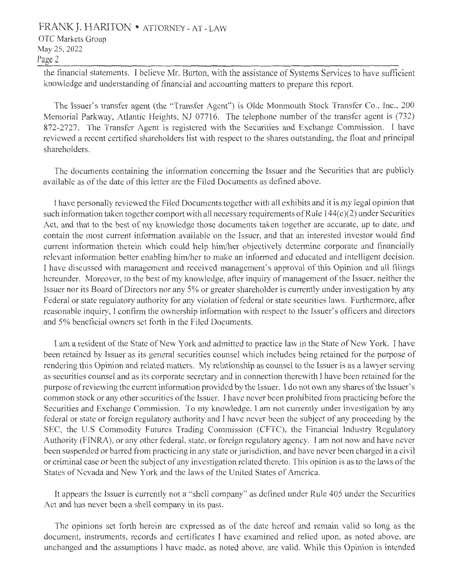## FRANK J. HARITON • ATTORNEY - AT - LAW OTC Markets Group May 25, 2022 Page 2

the financial statements. I believe Mr. Burton, with the assistance of Systems Services to have sufficient knowledge and understanding of financial and accounting matters to prepare this report.

The Issuer's transfer agent (the "Transfer Agent") is Olde Monmouth Stock Transfer Co., Inc., 200 Memorial Parkway, Atlantic Heights, NJ 07716. The telephone number of the transfer agent is (732) 872-2727. The Transfer Agent is registered with the Securities and Exchange Commission. I have reviewed a recent certified shareholders list with respect to the shares outstanding, the float and principal shareholders.

The documents containing the information concerning the Issuer and the Securities that are publicly available as of the date of this letter are the Filed Documents as defined above.

I have personally reviewed the Filed Documents together with all exhibits and it is my legal opinion that such information taken together comport with all necessary requirements of Rule  $144(c)(2)$  under Securities Act, and that to the best of my knowledge those documents taken together are accurate, up to date, and contain the most current information available on the Issuer, and that an interested investor would find current information therein which could help him/her objectively determine corporate and financially relevant information better enabling him/her to make an informed and educated and intelligent decision. I have discussed with management and received management's approval of this Opinion and all filings hereunder. Moreover, to the best of my knowledge, after inquiry of management of the Issuer, neither the Issuer nor its Board of Directors nor any 5% or greater shareholder is currently under investigation by any Federal or state regulatory authority for any violation of federal or state securities laws. Furthermore, after reasonable inquiry, I confirm the ownership information with respect to the Issuer's officers and directors and 5% beneficial owners set forth in the Filed Documents.

I am a resident of the State of New York and admitted to practice law in the State of New York. I have been retained by Issuer as its general securities counsel which includes being retained for the purpose of rendering this Opinion and related matters. My relationship as counsel to the Issuer is as a lawyer serving as securities counsel and as its corporate secretary and in connection therewith I have been retained for the purpose ofreviewing the current information provided by the Issuer. I do not own any shares of the Issuer's common stock or any other securities of the Issuer. I have never been prohibited from practicing before the Securities and Exchange Commission. To my knowledge, I am not currently under investigation by any federal or state or foreign regulatory authority and I have never been the subject of any proceeding by the SEC, the U.S Commodity Futures Trading Commission (CFTC), the Financial Industry Regulatory Authority (FINRA), or any other federal, state, or foreign regulatory agency. I am not now and have never been suspended or barred from practicing in any state or jurisdiction, and have never been charged in a civil or criminal case or been the subject of any investigation related thereto. This opinion is as to the laws of the States of Nevada and New York and the laws of the United States of America.

It appears the Issuer is currently not a "shell company" as defined under Rule 405 under the Securities Act and has never been a shell company in its past.

The opinions set forth herein are expressed as of the date hereof and remain valid so long as the document, instruments, records and certificates I have examined and relied upon, as noted above, are unchanged and the assumptions I have made, as noted above, are valid. While this Opinion is intended